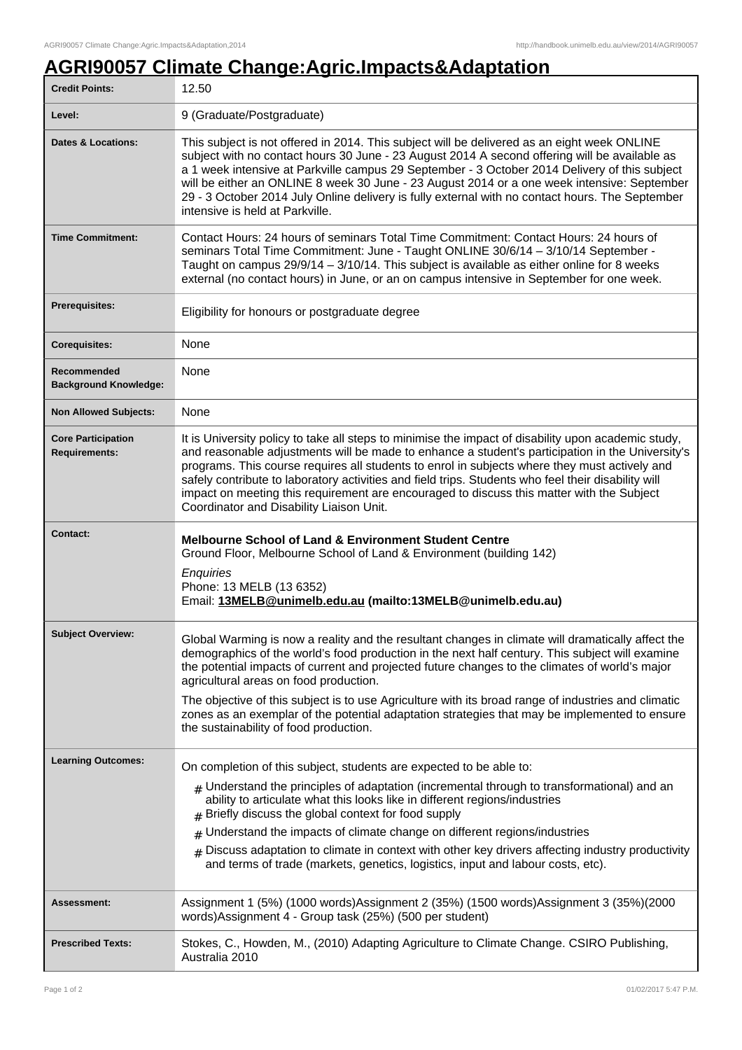## **AGRI90057 Climate Change:Agric.Impacts&Adaptation**

| <b>Credit Points:</b>                             | 12.50                                                                                                                                                                                                                                                                                                                                                                                                                                                                                                                                                                                              |
|---------------------------------------------------|----------------------------------------------------------------------------------------------------------------------------------------------------------------------------------------------------------------------------------------------------------------------------------------------------------------------------------------------------------------------------------------------------------------------------------------------------------------------------------------------------------------------------------------------------------------------------------------------------|
| Level:                                            | 9 (Graduate/Postgraduate)                                                                                                                                                                                                                                                                                                                                                                                                                                                                                                                                                                          |
| <b>Dates &amp; Locations:</b>                     | This subject is not offered in 2014. This subject will be delivered as an eight week ONLINE<br>subject with no contact hours 30 June - 23 August 2014 A second offering will be available as<br>a 1 week intensive at Parkville campus 29 September - 3 October 2014 Delivery of this subject<br>will be either an ONLINE 8 week 30 June - 23 August 2014 or a one week intensive: September<br>29 - 3 October 2014 July Online delivery is fully external with no contact hours. The September<br>intensive is held at Parkville.                                                                 |
| <b>Time Commitment:</b>                           | Contact Hours: 24 hours of seminars Total Time Commitment: Contact Hours: 24 hours of<br>seminars Total Time Commitment: June - Taught ONLINE 30/6/14 - 3/10/14 September -<br>Taught on campus 29/9/14 - 3/10/14. This subject is available as either online for 8 weeks<br>external (no contact hours) in June, or an on campus intensive in September for one week.                                                                                                                                                                                                                             |
| <b>Prerequisites:</b>                             | Eligibility for honours or postgraduate degree                                                                                                                                                                                                                                                                                                                                                                                                                                                                                                                                                     |
| <b>Corequisites:</b>                              | None                                                                                                                                                                                                                                                                                                                                                                                                                                                                                                                                                                                               |
| Recommended<br><b>Background Knowledge:</b>       | None                                                                                                                                                                                                                                                                                                                                                                                                                                                                                                                                                                                               |
| <b>Non Allowed Subjects:</b>                      | None                                                                                                                                                                                                                                                                                                                                                                                                                                                                                                                                                                                               |
| <b>Core Participation</b><br><b>Requirements:</b> | It is University policy to take all steps to minimise the impact of disability upon academic study,<br>and reasonable adjustments will be made to enhance a student's participation in the University's<br>programs. This course requires all students to enrol in subjects where they must actively and<br>safely contribute to laboratory activities and field trips. Students who feel their disability will<br>impact on meeting this requirement are encouraged to discuss this matter with the Subject<br>Coordinator and Disability Liaison Unit.                                           |
| <b>Contact:</b>                                   | <b>Melbourne School of Land &amp; Environment Student Centre</b><br>Ground Floor, Melbourne School of Land & Environment (building 142)<br>Enquiries<br>Phone: 13 MELB (13 6352)<br>Email: 13MELB@unimelb.edu.au (mailto:13MELB@unimelb.edu.au)                                                                                                                                                                                                                                                                                                                                                    |
| <b>Subject Overview:</b>                          | Global Warming is now a reality and the resultant changes in climate will dramatically affect the<br>demographics of the world's food production in the next half century. This subject will examine<br>the potential impacts of current and projected future changes to the climates of world's major<br>agricultural areas on food production.<br>The objective of this subject is to use Agriculture with its broad range of industries and climatic<br>zones as an exemplar of the potential adaptation strategies that may be implemented to ensure<br>the sustainability of food production. |
| <b>Learning Outcomes:</b>                         | On completion of this subject, students are expected to be able to:                                                                                                                                                                                                                                                                                                                                                                                                                                                                                                                                |
|                                                   | $#$ Understand the principles of adaptation (incremental through to transformational) and an<br>ability to articulate what this looks like in different regions/industries<br>Briefly discuss the global context for food supply                                                                                                                                                                                                                                                                                                                                                                   |
|                                                   | Understand the impacts of climate change on different regions/industries<br>#<br>$_{\#}$ Discuss adaptation to climate in context with other key drivers affecting industry productivity<br>and terms of trade (markets, genetics, logistics, input and labour costs, etc).                                                                                                                                                                                                                                                                                                                        |
| Assessment:                                       | Assignment 1 (5%) (1000 words)Assignment 2 (35%) (1500 words)Assignment 3 (35%)(2000<br>words)Assignment 4 - Group task (25%) (500 per student)                                                                                                                                                                                                                                                                                                                                                                                                                                                    |
|                                                   |                                                                                                                                                                                                                                                                                                                                                                                                                                                                                                                                                                                                    |